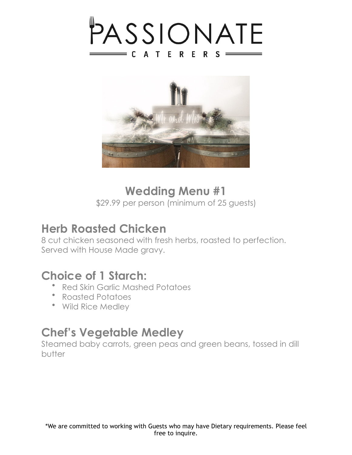



### **Wedding Menu #1**

\$29.99 per person (minimum of 25 guests)

#### **Herb Roasted Chicken**

8 cut chicken seasoned with fresh herbs, roasted to perfection. Served with House Made gravy.

#### **Choice of 1 Starch:**

- Red Skin Garlic Mashed Potatoes
- Roasted Potatoes
- Wild Rice Medley

#### **Chef's Vegetable Medley**

Steamed baby carrots, green peas and green beans, tossed in dill butter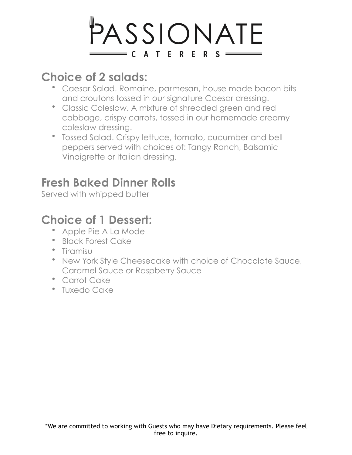# PASSIONATE  $=$  CATERERS  $=$

# **Choice of 2 salads:**

- Caesar Salad. Romaine, parmesan, house made bacon bits and croutons tossed in our signature Caesar dressing.
- Classic Coleslaw. A mixture of shredded green and red cabbage, crispy carrots, tossed in our homemade creamy coleslaw dressing.
- Tossed Salad. Crispy lettuce, tomato, cucumber and bell peppers served with choices of: Tangy Ranch, Balsamic Vinaigrette or Italian dressing.

# **Fresh Baked Dinner Rolls**

Served with whipped butter

# **Choice of 1 Dessert:**

- Apple Pie A La Mode
- Black Forest Cake
- Tiramisu
- New York Style Cheesecake with choice of Chocolate Sauce, Caramel Sauce or Raspberry Sauce
- Carrot Cake
- Tuxedo Cake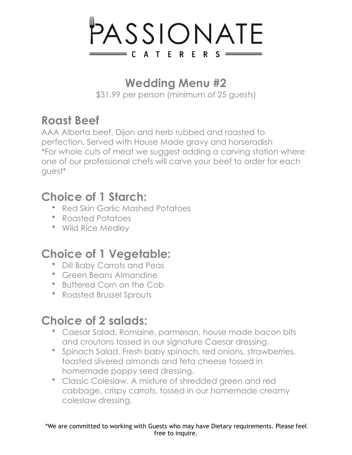

# **Wedding Menu #2**

\$31.99 per person (minimum of 25 guests)

# **Roast Beef**

AAA Alberta beef, Dijon and herb rubbed and roasted to perfection. Served with House Made gravy and horseradish \*For whole cuts of meat we suggest adding a carving station where one of our professional chefs will carve your beef to order for each guest\*

# **Choice of 1 Starch:**

- Red Skin Garlic Mashed Potatoes
- Roasted Potatoes
- Wild Rice Medley

# **Choice of 1 Vegetable:**

- Dill Baby Carrots and Peas
- Green Beans Almandine
- Buttered Corn on the Cob
- Roasted Brussel Sprouts

# **Choice of 2 salads:**

- Caesar Salad. Romaine, parmesan, house made bacon bits and croutons tossed in our signature Caesar dressing.
- Spinach Salad. Fresh baby spinach, red onions, strawberries, toasted slivered almonds and feta cheese tossed in homemade poppy seed dressing.
- Classic Coleslaw. A mixture of shredded green and red cabbage, crispy carrots, tossed in our homemade creamy coleslaw dressing.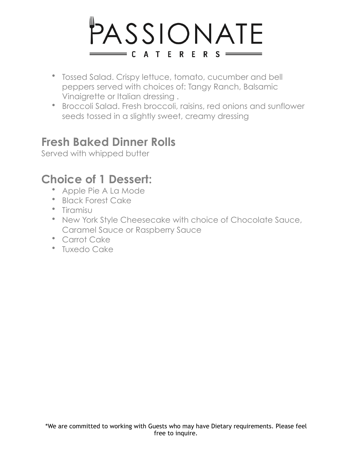# PASSIONATE  $\equiv$  CATERERS  $\equiv$

- Tossed Salad. Crispy lettuce, tomato, cucumber and bell peppers served with choices of: Tangy Ranch, Balsamic Vinaigrette or Italian dressing .
- Broccoli Salad. Fresh broccoli, raisins, red onions and sunflower seeds tossed in a slightly sweet, creamy dressing

#### **Fresh Baked Dinner Rolls**

Served with whipped butter

### **Choice of 1 Dessert:**

- Apple Pie A La Mode
- Black Forest Cake
- Tiramisu
- New York Style Cheesecake with choice of Chocolate Sauce, Caramel Sauce or Raspberry Sauce
- Carrot Cake
- Tuxedo Cake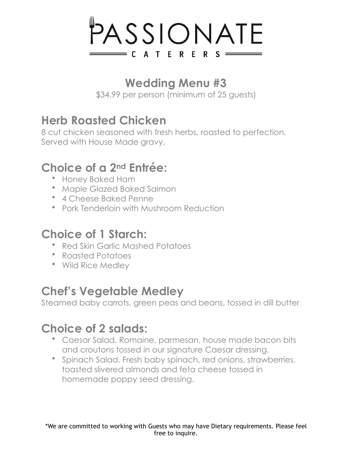# PASSIONATE  $\equiv$  CATERERS  $\equiv$

# **Wedding Menu #3**

\$34.99 per person (minimum of 25 guests)

# **Herb Roasted Chicken**

8 cut chicken seasoned with fresh herbs, roasted to perfection. Served with House Made gravy.

# **Choice of a 2nd Entrée:**

- Honey Baked Ham
- Maple Glazed Baked Salmon
- 4 Cheese Baked Penne
- Pork Tenderloin with Mushroom Reduction

# **Choice of 1 Starch:**

- Red Skin Garlic Mashed Potatoes
- Roasted Potatoes
- Wild Rice Medley

# **Chef's Vegetable Medley**

Steamed baby carrots, green peas and beans, tossed in dill butter

# **Choice of 2 salads:**

- Caesar Salad. Romaine, parmesan, house made bacon bits and croutons tossed in our signature Caesar dressing.
- Spinach Salad. Fresh baby spinach, red onions, strawberries, toasted slivered almonds and feta cheese tossed in homemade poppy seed dressing.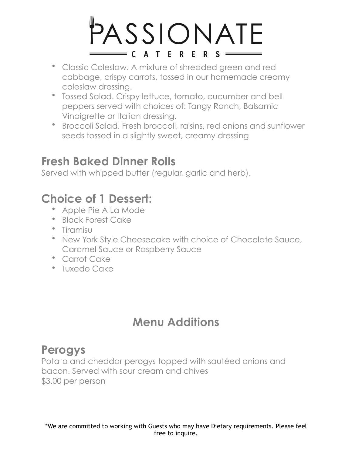# PASSIONATE  $= C A T E R E R S =$

- Classic Coleslaw. A mixture of shredded green and red cabbage, crispy carrots, tossed in our homemade creamy coleslaw dressing.
- Tossed Salad. Crispy lettuce, tomato, cucumber and bell peppers served with choices of: Tangy Ranch, Balsamic Vinaigrette or Italian dressing.
- Broccoli Salad. Fresh broccoli, raisins, red onions and sunflower seeds tossed in a slightly sweet, creamy dressing

### **Fresh Baked Dinner Rolls**

Served with whipped butter (regular, garlic and herb).

# **Choice of 1 Dessert:**

- Apple Pie A La Mode
- Black Forest Cake
- Tiramisu
- New York Style Cheesecake with choice of Chocolate Sauce, Caramel Sauce or Raspberry Sauce
- Carrot Cake
- Tuxedo Cake

# **Menu Additions**

#### **Perogys**

Potato and cheddar perogys topped with sautéed onions and bacon. Served with sour cream and chives \$3.00 per person